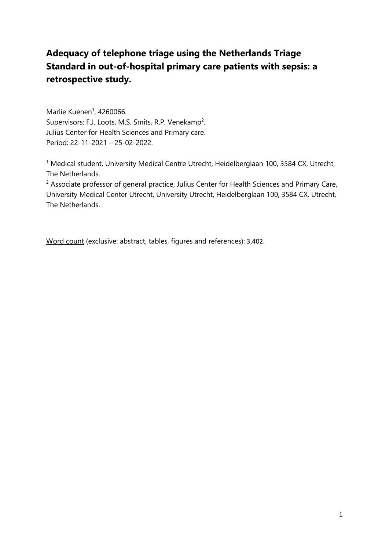# **Adequacy of telephone triage using the Netherlands Triage Standard in out-of-hospital primary care patients with sepsis: a retrospective study.**

Marlie Kuenen<sup>1</sup>, 4260066. Supervisors: F.J. Loots, M.S. Smits, R.P. Venekamp<sup>2</sup>. Julius Center for Health Sciences and Primary care. Period: 22-11-2021 – 25-02-2022.

<sup>1</sup> Medical student, University Medical Centre Utrecht, Heidelberglaan 100, 3584 CX, Utrecht, The Netherlands.

 $2$  Associate professor of general practice, Julius Center for Health Sciences and Primary Care, University Medical Center Utrecht, University Utrecht, Heidelberglaan 100, 3584 CX, Utrecht, The Netherlands.

Word count (exclusive: abstract, tables, figures and references): 3,402.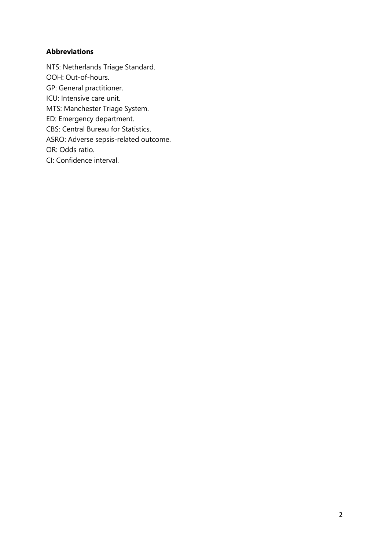# **Abbreviations**

NTS: Netherlands Triage Standard. OOH: Out-of-hours. GP: General practitioner. ICU: Intensive care unit. MTS: Manchester Triage System. ED: Emergency department. CBS: Central Bureau for Statistics. ASRO: Adverse sepsis-related outcome. OR: Odds ratio. CI: Confidence interval.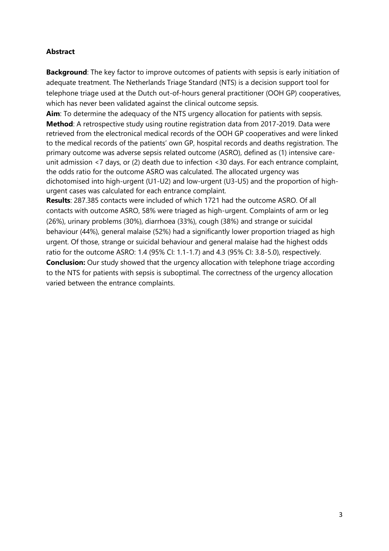# **Abstract**

**Background**: The key factor to improve outcomes of patients with sepsis is early initiation of adequate treatment. The Netherlands Triage Standard (NTS) is a decision support tool for telephone triage used at the Dutch out-of-hours general practitioner (OOH GP) cooperatives, which has never been validated against the clinical outcome sepsis.

**Aim**: To determine the adequacy of the NTS urgency allocation for patients with sepsis. **Method**: A retrospective study using routine registration data from 2017-2019. Data were retrieved from the electronical medical records of the OOH GP cooperatives and were linked to the medical records of the patients' own GP, hospital records and deaths registration. The primary outcome was adverse sepsis related outcome (ASRO), defined as (1) intensive careunit admission <7 days, or (2) death due to infection <30 days. For each entrance complaint, the odds ratio for the outcome ASRO was calculated. The allocated urgency was dichotomised into high-urgent (U1-U2) and low-urgent (U3-U5) and the proportion of highurgent cases was calculated for each entrance complaint.

**Results**: 287.385 contacts were included of which 1721 had the outcome ASRO. Of all contacts with outcome ASRO, 58% were triaged as high-urgent. Complaints of arm or leg (26%), urinary problems (30%), diarrhoea (33%), cough (38%) and strange or suicidal behaviour (44%), general malaise (52%) had a significantly lower proportion triaged as high urgent. Of those, strange or suicidal behaviour and general malaise had the highest odds ratio for the outcome ASRO: 1.4 (95% CI: 1.1-1.7) and 4.3 (95% CI: 3.8-5.0), respectively. **Conclusion:** Our study showed that the urgency allocation with telephone triage according to the NTS for patients with sepsis is suboptimal. The correctness of the urgency allocation varied between the entrance complaints.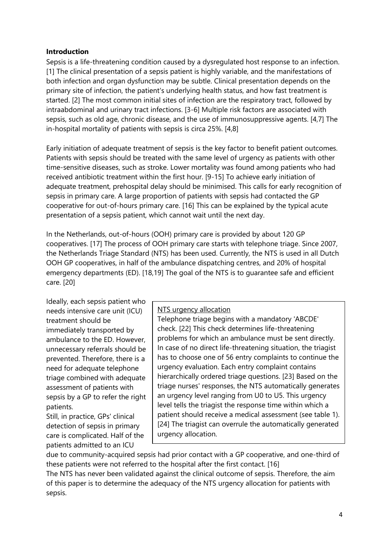## **Introduction**

Sepsis is a life-threatening condition caused by a dysregulated host response to an infection. [1] The clinical presentation of a sepsis patient is highly variable, and the manifestations of both infection and organ dysfunction may be subtle. Clinical presentation depends on the primary site of infection, the patient's underlying health status, and how fast treatment is started. [2] The most common initial sites of infection are the respiratory tract, followed by intraabdominal and urinary tract infections. [3-6] Multiple risk factors are associated with sepsis, such as old age, chronic disease, and the use of immunosuppressive agents. [4,7] The in-hospital mortality of patients with sepsis is circa 25%. [4,8]

Early initiation of adequate treatment of sepsis is the key factor to benefit patient outcomes. Patients with sepsis should be treated with the same level of urgency as patients with other time-sensitive diseases, such as stroke. Lower mortality was found among patients who had received antibiotic treatment within the first hour. [9-15] To achieve early initiation of adequate treatment, prehospital delay should be minimised. This calls for early recognition of sepsis in primary care. A large proportion of patients with sepsis had contacted the GP cooperative for out-of-hours primary care. [16] This can be explained by the typical acute presentation of a sepsis patient, which cannot wait until the next day.

In the Netherlands, out-of-hours (OOH) primary care is provided by about 120 GP cooperatives. [17] The process of OOH primary care starts with telephone triage. Since 2007, the Netherlands Triage Standard (NTS) has been used. Currently, the NTS is used in all Dutch OOH GP cooperatives, in half of the ambulance dispatching centres, and 20% of hospital emergency departments (ED). [18,19] The goal of the NTS is to guarantee safe and efficient care. [20]

Ideally, each sepsis patient who needs intensive care unit (ICU) treatment should be immediately transported by ambulance to the ED. However, unnecessary referrals should be prevented. Therefore, there is a need for adequate telephone triage combined with adequate assessment of patients with sepsis by a GP to refer the right patients.

Still, in practice, GPs' clinical detection of sepsis in primary care is complicated. Half of the patients admitted to an ICU

## NTS urgency allocation

Telephone triage begins with a mandatory 'ABCDE' check. [22] This check determines life-threatening problems for which an ambulance must be sent directly. In case of no direct life-threatening situation, the triagist has to choose one of 56 entry complaints to continue the urgency evaluation. Each entry complaint contains hierarchically ordered triage questions. [23] Based on the triage nurses' responses, the NTS automatically generates an urgency level ranging from U0 to U5. This urgency level tells the triagist the response time within which a patient should receive a medical assessment (see table 1). [24] The triagist can overrule the automatically generated urgency allocation.

due to community-acquired sepsis had prior contact with a GP cooperative, and one-third of these patients were not referred to the hospital after the first contact. [16]

The NTS has never been validated against the clinical outcome of sepsis. Therefore, the aim of this paper is to determine the adequacy of the NTS urgency allocation for patients with sepsis.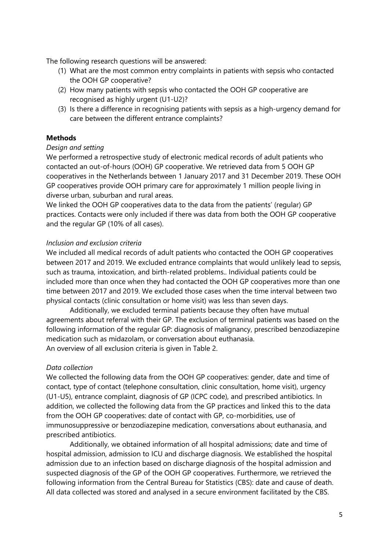The following research questions will be answered:

- (1) What are the most common entry complaints in patients with sepsis who contacted the OOH GP cooperative?
- (2) How many patients with sepsis who contacted the OOH GP cooperative are recognised as highly urgent (U1-U2)?
- (3) Is there a difference in recognising patients with sepsis as a high-urgency demand for care between the different entrance complaints?

# **Methods**

## *Design and setting*

We performed a retrospective study of electronic medical records of adult patients who contacted an out-of-hours (OOH) GP cooperative. We retrieved data from 5 OOH GP cooperatives in the Netherlands between 1 January 2017 and 31 December 2019. These OOH GP cooperatives provide OOH primary care for approximately 1 million people living in diverse urban, suburban and rural areas.

We linked the OOH GP cooperatives data to the data from the patients' (regular) GP practices. Contacts were only included if there was data from both the OOH GP cooperative and the regular GP (10% of all cases).

## *Inclusion and exclusion criteria*

We included all medical records of adult patients who contacted the OOH GP cooperatives between 2017 and 2019. We excluded entrance complaints that would unlikely lead to sepsis, such as trauma, intoxication, and birth-related problems.. Individual patients could be included more than once when they had contacted the OOH GP cooperatives more than one time between 2017 and 2019. We excluded those cases when the time interval between two physical contacts (clinic consultation or home visit) was less than seven days.

Additionally, we excluded terminal patients because they often have mutual agreements about referral with their GP. The exclusion of terminal patients was based on the following information of the regular GP: diagnosis of malignancy, prescribed benzodiazepine medication such as midazolam, or conversation about euthanasia. An overview of all exclusion criteria is given in Table 2.

# *Data collection*

We collected the following data from the OOH GP cooperatives: gender, date and time of contact, type of contact (telephone consultation, clinic consultation, home visit), urgency (U1-U5), entrance complaint, diagnosis of GP (ICPC code), and prescribed antibiotics. In addition, we collected the following data from the GP practices and linked this to the data from the OOH GP cooperatives: date of contact with GP, co-morbidities, use of immunosuppressive or benzodiazepine medication, conversations about euthanasia, and prescribed antibiotics.

Additionally, we obtained information of all hospital admissions; date and time of hospital admission, admission to ICU and discharge diagnosis. We established the hospital admission due to an infection based on discharge diagnosis of the hospital admission and suspected diagnosis of the GP of the OOH GP cooperatives. Furthermore, we retrieved the following information from the Central Bureau for Statistics (CBS): date and cause of death. All data collected was stored and analysed in a secure environment facilitated by the CBS.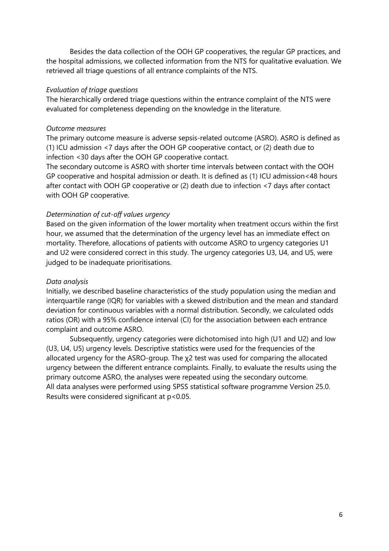Besides the data collection of the OOH GP cooperatives, the regular GP practices, and the hospital admissions, we collected information from the NTS for qualitative evaluation. We retrieved all triage questions of all entrance complaints of the NTS.

#### *Evaluation of triage questions*

The hierarchically ordered triage questions within the entrance complaint of the NTS were evaluated for completeness depending on the knowledge in the literature.

#### *Outcome measures*

The primary outcome measure is adverse sepsis-related outcome (ASRO). ASRO is defined as (1) ICU admission <7 days after the OOH GP cooperative contact, or (2) death due to infection <30 days after the OOH GP cooperative contact.

The secondary outcome is ASRO with shorter time intervals between contact with the OOH GP cooperative and hospital admission or death. It is defined as (1) ICU admission<48 hours after contact with OOH GP cooperative or (2) death due to infection <7 days after contact with OOH GP cooperative.

## *Determination of cut-off values urgency*

Based on the given information of the lower mortality when treatment occurs within the first hour, we assumed that the determination of the urgency level has an immediate effect on mortality. Therefore, allocations of patients with outcome ASRO to urgency categories U1 and U2 were considered correct in this study. The urgency categories U3, U4, and U5, were judged to be inadequate prioritisations.

## *Data analysis*

Initially, we described baseline characteristics of the study population using the median and interquartile range (IQR) for variables with a skewed distribution and the mean and standard deviation for continuous variables with a normal distribution. Secondly, we calculated odds ratios (OR) with a 95% confidence interval (CI) for the association between each entrance complaint and outcome ASRO.

Subsequently, urgency categories were dichotomised into high (U1 and U2) and low (U3, U4, U5) urgency levels. Descriptive statistics were used for the frequencies of the allocated urgency for the ASRO-group. The χ2 test was used for comparing the allocated urgency between the different entrance complaints. Finally, to evaluate the results using the primary outcome ASRO, the analyses were repeated using the secondary outcome. All data analyses were performed using SPSS statistical software programme Version 25.0. Results were considered significant at p<0.05.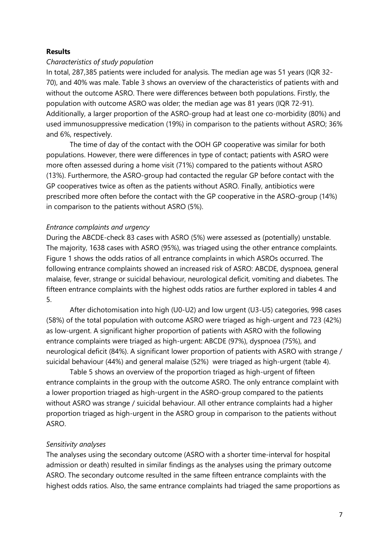#### **Results**

## *Characteristics of study population*

In total, 287,385 patients were included for analysis. The median age was 51 years (IQR 32- 70), and 40% was male. Table 3 shows an overview of the characteristics of patients with and without the outcome ASRO. There were differences between both populations. Firstly, the population with outcome ASRO was older; the median age was 81 years (IQR 72-91). Additionally, a larger proportion of the ASRO-group had at least one co-morbidity (80%) and used immunosuppressive medication (19%) in comparison to the patients without ASRO; 36% and 6%, respectively.

The time of day of the contact with the OOH GP cooperative was similar for both populations. However, there were differences in type of contact; patients with ASRO were more often assessed during a home visit (71%) compared to the patients without ASRO (13%). Furthermore, the ASRO-group had contacted the regular GP before contact with the GP cooperatives twice as often as the patients without ASRO. Finally, antibiotics were prescribed more often before the contact with the GP cooperative in the ASRO-group (14%) in comparison to the patients without ASRO (5%).

#### *Entrance complaints and urgency*

During the ABCDE-check 83 cases with ASRO (5%) were assessed as (potentially) unstable. The majority, 1638 cases with ASRO (95%), was triaged using the other entrance complaints. Figure 1 shows the odds ratios of all entrance complaints in which ASROs occurred. The following entrance complaints showed an increased risk of ASRO: ABCDE, dyspnoea, general malaise, fever, strange or suicidal behaviour, neurological deficit, vomiting and diabetes. The fifteen entrance complaints with the highest odds ratios are further explored in tables 4 and 5.

After dichotomisation into high (U0-U2) and low urgent (U3-U5) categories, 998 cases (58%) of the total population with outcome ASRO were triaged as high-urgent and 723 (42%) as low-urgent. A significant higher proportion of patients with ASRO with the following entrance complaints were triaged as high-urgent: ABCDE (97%), dyspnoea (75%), and neurological deficit (84%). A significant lower proportion of patients with ASRO with strange / suicidal behaviour (44%) and general malaise (52%) were triaged as high-urgent (table 4).

Table 5 shows an overview of the proportion triaged as high-urgent of fifteen entrance complaints in the group with the outcome ASRO. The only entrance complaint with a lower proportion triaged as high-urgent in the ASRO-group compared to the patients without ASRO was strange / suicidal behaviour. All other entrance complaints had a higher proportion triaged as high-urgent in the ASRO group in comparison to the patients without ASRO.

#### *Sensitivity analyses*

The analyses using the secondary outcome (ASRO with a shorter time-interval for hospital admission or death) resulted in similar findings as the analyses using the primary outcome ASRO. The secondary outcome resulted in the same fifteen entrance complaints with the highest odds ratios. Also, the same entrance complaints had triaged the same proportions as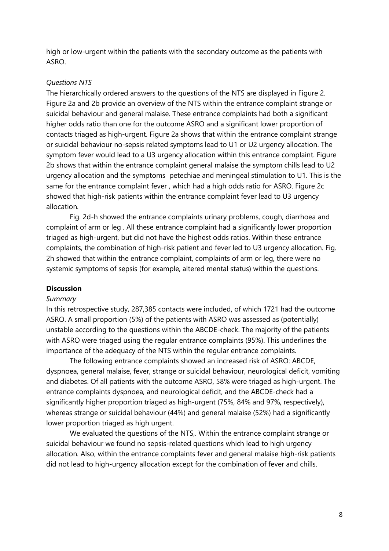high or low-urgent within the patients with the secondary outcome as the patients with ASRO.

## *Questions NTS*

The hierarchically ordered answers to the questions of the NTS are displayed in Figure 2. Figure 2a and 2b provide an overview of the NTS within the entrance complaint strange or suicidal behaviour and general malaise. These entrance complaints had both a significant higher odds ratio than one for the outcome ASRO and a significant lower proportion of contacts triaged as high-urgent. Figure 2a shows that within the entrance complaint strange or suicidal behaviour no-sepsis related symptoms lead to U1 or U2 urgency allocation. The symptom fever would lead to a U3 urgency allocation within this entrance complaint. Figure 2b shows that within the entrance complaint general malaise the symptom chills lead to U2 urgency allocation and the symptoms petechiae and meningeal stimulation to U1. This is the same for the entrance complaint fever , which had a high odds ratio for ASRO. Figure 2c showed that high-risk patients within the entrance complaint fever lead to U3 urgency allocation.

Fig. 2d-h showed the entrance complaints urinary problems, cough, diarrhoea and complaint of arm or leg . All these entrance complaint had a significantly lower proportion triaged as high-urgent, but did not have the highest odds ratios. Within these entrance complaints, the combination of high-risk patient and fever led to U3 urgency allocation. Fig. 2h showed that within the entrance complaint, complaints of arm or leg, there were no systemic symptoms of sepsis (for example, altered mental status) within the questions.

## **Discussion**

## *Summary*

In this retrospective study, 287,385 contacts were included, of which 1721 had the outcome ASRO. A small proportion (5%) of the patients with ASRO was assessed as (potentially) unstable according to the questions within the ABCDE-check. The majority of the patients with ASRO were triaged using the regular entrance complaints (95%). This underlines the importance of the adequacy of the NTS within the regular entrance complaints.

The following entrance complaints showed an increased risk of ASRO: ABCDE, dyspnoea, general malaise, fever, strange or suicidal behaviour, neurological deficit, vomiting and diabetes. Of all patients with the outcome ASRO, 58% were triaged as high-urgent. The entrance complaints dyspnoea, and neurological deficit, and the ABCDE-check had a significantly higher proportion triaged as high-urgent (75%, 84% and 97%, respectively), whereas strange or suicidal behaviour (44%) and general malaise (52%) had a significantly lower proportion triaged as high urgent.

We evaluated the questions of the NTS.. Within the entrance complaint strange or suicidal behaviour we found no sepsis-related questions which lead to high urgency allocation. Also, within the entrance complaints fever and general malaise high-risk patients did not lead to high-urgency allocation except for the combination of fever and chills.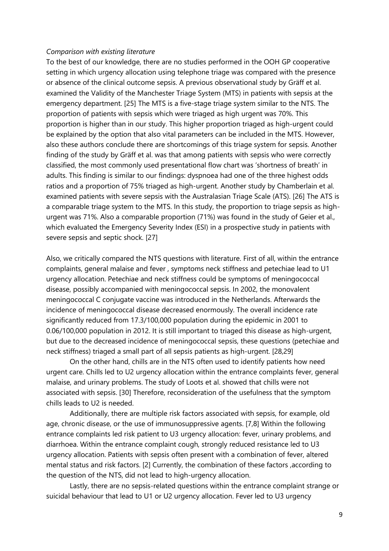#### *Comparison with existing literature*

To the best of our knowledge, there are no studies performed in the OOH GP cooperative setting in which urgency allocation using telephone triage was compared with the presence or absence of the clinical outcome sepsis. A previous observational study by Gräff et al. examined the Validity of the Manchester Triage System (MTS) in patients with sepsis at the emergency department. [25] The MTS is a five-stage triage system similar to the NTS. The proportion of patients with sepsis which were triaged as high urgent was 70%. This proportion is higher than in our study. This higher proportion triaged as high-urgent could be explained by the option that also vital parameters can be included in the MTS. However, also these authors conclude there are shortcomings of this triage system for sepsis. Another finding of the study by Gräff et al. was that among patients with sepsis who were correctly classified, the most commonly used presentational flow chart was 'shortness of breath' in adults. This finding is similar to our findings: dyspnoea had one of the three highest odds ratios and a proportion of 75% triaged as high-urgent. Another study by Chamberlain et al. examined patients with severe sepsis with the Australasian Triage Scale (ATS). [26] The ATS is a comparable triage system to the MTS. In this study, the proportion to triage sepsis as highurgent was 71%. Also a comparable proportion (71%) was found in the study of Geier et al., which evaluated the Emergency Severity Index (ESI) in a prospective study in patients with severe sepsis and septic shock. [27]

Also, we critically compared the NTS questions with literature. First of all, within the entrance complaints, general malaise and fever , symptoms neck stiffness and petechiae lead to U1 urgency allocation. Petechiae and neck stiffness could be symptoms of meningococcal disease, possibly accompanied with meningococcal sepsis. In 2002, the monovalent meningococcal C conjugate vaccine was introduced in the Netherlands. Afterwards the incidence of meningococcal disease decreased enormously. The overall incidence rate significantly reduced from 17.3/100,000 population during the epidemic in 2001 to 0.06/100,000 population in 2012. It is still important to triaged this disease as high-urgent, but due to the decreased incidence of meningococcal sepsis, these questions (petechiae and neck stiffness) triaged a small part of all sepsis patients as high-urgent. [28,29]

On the other hand, chills are in the NTS often used to identify patients how need urgent care. Chills led to U2 urgency allocation within the entrance complaints fever, general malaise, and urinary problems. The study of Loots et al. showed that chills were not associated with sepsis. [30] Therefore, reconsideration of the usefulness that the symptom chills leads to U2 is needed.

Additionally, there are multiple risk factors associated with sepsis, for example, old age, chronic disease, or the use of immunosuppressive agents. [7,8] Within the following entrance complaints led risk patient to U3 urgency allocation: fever, urinary problems, and diarrhoea. Within the entrance complaint cough, strongly reduced resistance led to U3 urgency allocation. Patients with sepsis often present with a combination of fever, altered mental status and risk factors. [2] Currently, the combination of these factors ,according to the question of the NTS, did not lead to high-urgency allocation.

Lastly, there are no sepsis-related questions within the entrance complaint strange or suicidal behaviour that lead to U1 or U2 urgency allocation. Fever led to U3 urgency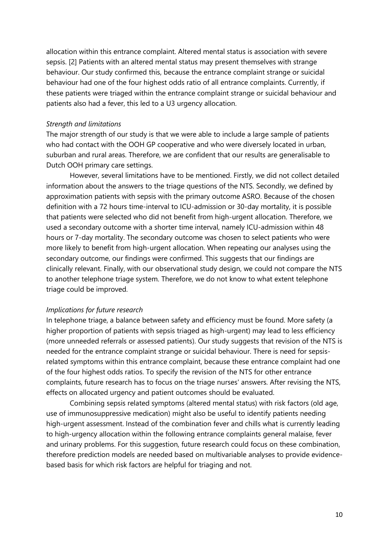allocation within this entrance complaint. Altered mental status is association with severe sepsis. [2] Patients with an altered mental status may present themselves with strange behaviour. Our study confirmed this, because the entrance complaint strange or suicidal behaviour had one of the four highest odds ratio of all entrance complaints. Currently, if these patients were triaged within the entrance complaint strange or suicidal behaviour and patients also had a fever, this led to a U3 urgency allocation.

#### *Strength and limitations*

The major strength of our study is that we were able to include a large sample of patients who had contact with the OOH GP cooperative and who were diversely located in urban, suburban and rural areas. Therefore, we are confident that our results are generalisable to Dutch OOH primary care settings.

However, several limitations have to be mentioned. Firstly, we did not collect detailed information about the answers to the triage questions of the NTS. Secondly, we defined by approximation patients with sepsis with the primary outcome ASRO. Because of the chosen definition with a 72 hours time-interval to ICU-admission or 30-day mortality, it is possible that patients were selected who did not benefit from high-urgent allocation. Therefore, we used a secondary outcome with a shorter time interval, namely ICU-admission within 48 hours or 7-day mortality. The secondary outcome was chosen to select patients who were more likely to benefit from high-urgent allocation. When repeating our analyses using the secondary outcome, our findings were confirmed. This suggests that our findings are clinically relevant. Finally, with our observational study design, we could not compare the NTS to another telephone triage system. Therefore, we do not know to what extent telephone triage could be improved.

#### *Implications for future research*

In telephone triage, a balance between safety and efficiency must be found. More safety (a higher proportion of patients with sepsis triaged as high-urgent) may lead to less efficiency (more unneeded referrals or assessed patients). Our study suggests that revision of the NTS is needed for the entrance complaint strange or suicidal behaviour. There is need for sepsisrelated symptoms within this entrance complaint, because these entrance complaint had one of the four highest odds ratios. To specify the revision of the NTS for other entrance complaints, future research has to focus on the triage nurses' answers. After revising the NTS, effects on allocated urgency and patient outcomes should be evaluated.

Combining sepsis related symptoms (altered mental status) with risk factors (old age, use of immunosuppressive medication) might also be useful to identify patients needing high-urgent assessment. Instead of the combination fever and chills what is currently leading to high-urgency allocation within the following entrance complaints general malaise, fever and urinary problems. For this suggestion, future research could focus on these combination, therefore prediction models are needed based on multivariable analyses to provide evidencebased basis for which risk factors are helpful for triaging and not.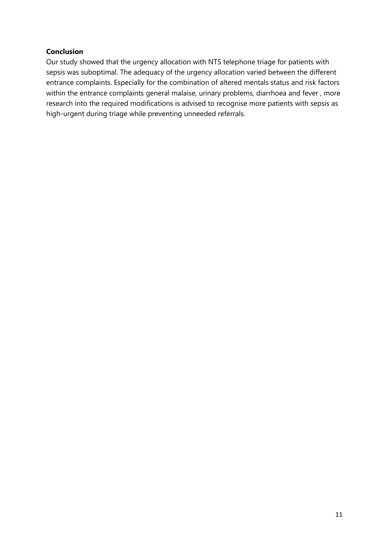# **Conclusion**

Our study showed that the urgency allocation with NTS telephone triage for patients with sepsis was suboptimal. The adequacy of the urgency allocation varied between the different entrance complaints. Especially for the combination of altered mentals status and risk factors within the entrance complaints general malaise, urinary problems, diarrhoea and fever , more research into the required modifications is advised to recognise more patients with sepsis as high-urgent during triage while preventing unneeded referrals.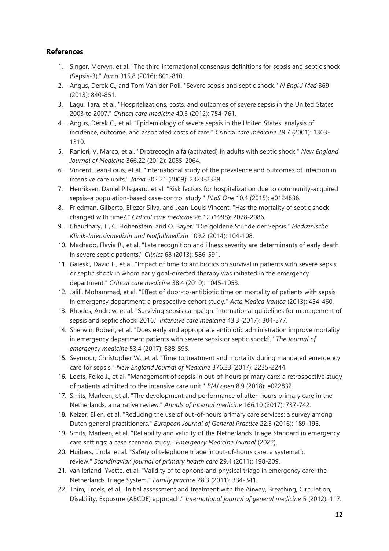# **References**

- 1. Singer, Mervyn, et al. "The third international consensus definitions for sepsis and septic shock (Sepsis-3)." *Jama* 315.8 (2016): 801-810.
- 2. Angus, Derek C., and Tom Van der Poll. "Severe sepsis and septic shock." *N Engl J Med* 369 (2013): 840-851.
- 3. Lagu, Tara, et al. "Hospitalizations, costs, and outcomes of severe sepsis in the United States 2003 to 2007." *Critical care medicine* 40.3 (2012): 754-761.
- 4. Angus, Derek C., et al. "Epidemiology of severe sepsis in the United States: analysis of incidence, outcome, and associated costs of care." *Critical care medicine* 29.7 (2001): 1303- 1310.
- 5. Ranieri, V. Marco, et al. "Drotrecogin alfa (activated) in adults with septic shock." *New England Journal of Medicine* 366.22 (2012): 2055-2064.
- 6. Vincent, Jean-Louis, et al. "International study of the prevalence and outcomes of infection in intensive care units." *Jama* 302.21 (2009): 2323-2329.
- 7. Henriksen, Daniel Pilsgaard, et al. "Risk factors for hospitalization due to community-acquired sepsis–a population-based case-control study." *PLoS One* 10.4 (2015): e0124838.
- 8. Friedman, Gilberto, Eliezer Silva, and Jean-Louis Vincent. "Has the mortality of septic shock changed with time?." *Critical care medicine* 26.12 (1998): 2078-2086.
- 9. Chaudhary, T., C. Hohenstein, and O. Bayer. "Die goldene Stunde der Sepsis." *Medizinische Klinik-Intensivmedizin und Notfallmedizin* 109.2 (2014): 104-108.
- 10. Machado, Flavia R., et al. "Late recognition and illness severity are determinants of early death in severe septic patients." *Clinics* 68 (2013): 586-591.
- 11. Gaieski, David F., et al. "Impact of time to antibiotics on survival in patients with severe sepsis or septic shock in whom early goal-directed therapy was initiated in the emergency department." *Critical care medicine* 38.4 (2010): 1045-1053.
- 12. Jalili, Mohammad, et al. "Effect of door-to-antibiotic time on mortality of patients with sepsis in emergency department: a prospective cohort study." *Acta Medica Iranica* (2013): 454-460.
- 13. Rhodes, Andrew, et al. "Surviving sepsis campaign: international guidelines for management of sepsis and septic shock: 2016." *Intensive care medicine* 43.3 (2017): 304-377.
- 14. Sherwin, Robert, et al. "Does early and appropriate antibiotic administration improve mortality in emergency department patients with severe sepsis or septic shock?." *The Journal of emergency medicine* 53.4 (2017): 588-595.
- 15. Seymour, Christopher W., et al. "Time to treatment and mortality during mandated emergency care for sepsis." *New England Journal of Medicine* 376.23 (2017): 2235-2244.
- 16. Loots, Feike J., et al. "Management of sepsis in out-of-hours primary care: a retrospective study of patients admitted to the intensive care unit." *BMJ open* 8.9 (2018): e022832.
- 17. Smits, Marleen, et al. "The development and performance of after-hours primary care in the Netherlands: a narrative review." *Annals of internal medicine* 166.10 (2017): 737-742.
- 18. Keizer, Ellen, et al. "Reducing the use of out-of-hours primary care services: a survey among Dutch general practitioners." *European Journal of General Practice* 22.3 (2016): 189-195.
- 19. Smits, Marleen, et al. "Reliability and validity of the Netherlands Triage Standard in emergency care settings: a case scenario study." *Emergency Medicine Journal* (2022).
- 20. Huibers, Linda, et al. "Safety of telephone triage in out-of-hours care: a systematic review." *Scandinavian journal of primary health care* 29.4 (2011): 198-209.
- 21. van Ierland, Yvette, et al. "Validity of telephone and physical triage in emergency care: the Netherlands Triage System." *Family practice* 28.3 (2011): 334-341.
- 22. Thim, Troels, et al. "Initial assessment and treatment with the Airway, Breathing, Circulation, Disability, Exposure (ABCDE) approach." *International journal of general medicine* 5 (2012): 117.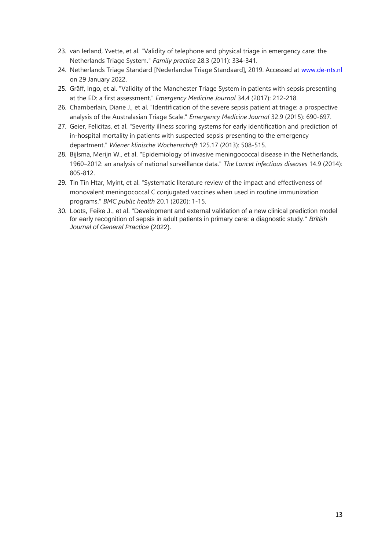- 23. van Ierland, Yvette, et al. "Validity of telephone and physical triage in emergency care: the Netherlands Triage System." *Family practice* 28.3 (2011): 334-341.
- 24. Netherlands Triage Standard [Nederlandse Triage Standaard], 2019. Accessed at [www.de-nts.nl](http://www.de-nts.nl/) on 29 January 2022.
- 25. Gräff, Ingo, et al. "Validity of the Manchester Triage System in patients with sepsis presenting at the ED: a first assessment." *Emergency Medicine Journal* 34.4 (2017): 212-218.
- 26. Chamberlain, Diane J., et al. "Identification of the severe sepsis patient at triage: a prospective analysis of the Australasian Triage Scale." *Emergency Medicine Journal* 32.9 (2015): 690-697.
- 27. Geier, Felicitas, et al. "Severity illness scoring systems for early identification and prediction of in-hospital mortality in patients with suspected sepsis presenting to the emergency department." *Wiener klinische Wochenschrift* 125.17 (2013): 508-515.
- 28. Bijlsma, Merijn W., et al. "Epidemiology of invasive meningococcal disease in the Netherlands, 1960–2012: an analysis of national surveillance data." *The Lancet infectious diseases* 14.9 (2014): 805-812.
- 29. Tin Tin Htar, Myint, et al. "Systematic literature review of the impact and effectiveness of monovalent meningococcal C conjugated vaccines when used in routine immunization programs." *BMC public health* 20.1 (2020): 1-15.
- 30. Loots, Feike J., et al. "Development and external validation of a new clinical prediction model for early recognition of sepsis in adult patients in primary care: a diagnostic study." *British Journal of General Practice* (2022).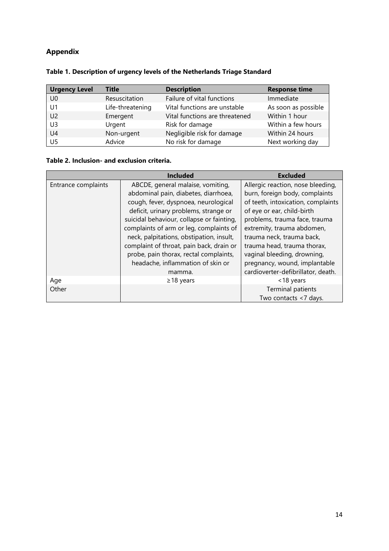# **Appendix**

| <b>Urgency Level</b> | <b>Title</b>     | <b>Description</b>             | <b>Response time</b> |
|----------------------|------------------|--------------------------------|----------------------|
| U <sub>0</sub>       | Resuscitation    | Failure of vital functions     | Immediate            |
| U1                   | Life-threatening | Vital functions are unstable   | As soon as possible  |
| U <sub>2</sub>       | Emergent         | Vital functions are threatened | Within 1 hour        |
| U3                   | Urgent           | Risk for damage                | Within a few hours   |
| U4                   | Non-urgent       | Negligible risk for damage     | Within 24 hours      |
| U <sub>5</sub>       | Advice           | No risk for damage             | Next working day     |

# **Table 1. Description of urgency levels of the Netherlands Triage Standard**

#### **Table 2. Inclusion- and exclusion criteria.**

|                     | <b>Included</b>                           | <b>Excluded</b>                    |
|---------------------|-------------------------------------------|------------------------------------|
| Entrance complaints | ABCDE, general malaise, vomiting,         | Allergic reaction, nose bleeding,  |
|                     | abdominal pain, diabetes, diarrhoea,      | burn, foreign body, complaints     |
|                     | cough, fever, dyspnoea, neurological      | of teeth, intoxication, complaints |
|                     | deficit, urinary problems, strange or     | of eye or ear, child-birth         |
|                     | suicidal behaviour, collapse or fainting, | problems, trauma face, trauma      |
|                     | complaints of arm or leg, complaints of   | extremity, trauma abdomen,         |
|                     | neck, palpitations, obstipation, insult,  | trauma neck, trauma back,          |
|                     | complaint of throat, pain back, drain or  | trauma head, trauma thorax,        |
|                     | probe, pain thorax, rectal complaints,    | vaginal bleeding, drowning,        |
|                     | headache, inflammation of skin or         | pregnancy, wound, implantable      |
|                     | mamma.                                    | cardioverter-defibrillator, death. |
| Age                 | $\geq$ 18 years                           | <18 years                          |
| Other               |                                           | <b>Terminal patients</b>           |
|                     |                                           | Two contacts <7 days.              |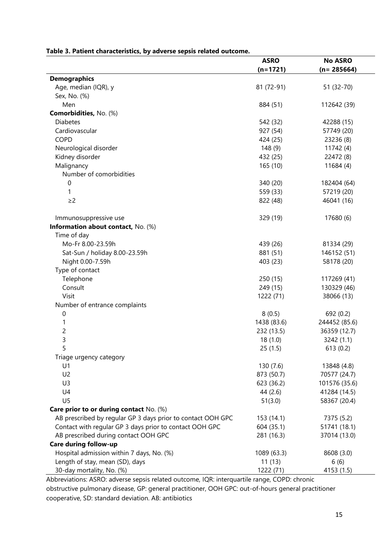|                                                             | <b>ASRO</b> | <b>No ASRO</b> |
|-------------------------------------------------------------|-------------|----------------|
|                                                             | $(n=1721)$  | $(n = 285664)$ |
| <b>Demographics</b>                                         |             |                |
| Age, median (IQR), y                                        | 81 (72-91)  | 51 (32-70)     |
| Sex, No. (%)                                                |             |                |
| Men                                                         | 884 (51)    | 112642 (39)    |
| Comorbidities, No. (%)                                      |             |                |
| <b>Diabetes</b>                                             | 542 (32)    | 42288 (15)     |
| Cardiovascular                                              | 927 (54)    | 57749 (20)     |
| <b>COPD</b>                                                 | 424 (25)    | 23236 (8)      |
| Neurological disorder                                       | 148(9)      | 11742 (4)      |
| Kidney disorder                                             | 432 (25)    | 22472 (8)      |
| Malignancy                                                  | 165 (10)    | 11684 (4)      |
| Number of comorbidities                                     |             |                |
| 0                                                           | 340 (20)    | 182404 (64)    |
| 1                                                           | 559 (33)    | 57219 (20)     |
| $\geq$ 2                                                    | 822 (48)    | 46041 (16)     |
|                                                             |             |                |
| Immunosuppressive use                                       | 329 (19)    | 17680 (6)      |
| Information about contact, No. (%)                          |             |                |
| Time of day                                                 |             |                |
| Mo-Fr 8.00-23.59h                                           | 439 (26)    | 81334 (29)     |
| Sat-Sun / holiday 8.00-23.59h                               | 881 (51)    | 146152 (51)    |
|                                                             |             |                |
| Night 0.00-7.59h                                            | 403 (23)    | 58178 (20)     |
| Type of contact                                             |             |                |
| Telephone                                                   | 250 (15)    | 117269 (41)    |
| Consult                                                     | 249 (15)    | 130329 (46)    |
| Visit                                                       | 1222 (71)   | 38066 (13)     |
| Number of entrance complaints                               |             |                |
| $\boldsymbol{0}$                                            | 8(0.5)      | 692 (0.2)      |
| 1                                                           | 1438 (83.6) | 244452 (85.6)  |
| $\overline{\mathbf{c}}$                                     | 232 (13.5)  | 36359 (12.7)   |
| 3                                                           | 18(1.0)     | 3242 (1.1)     |
|                                                             | 25(1.5)     | 613(0.2)       |
| Triage urgency category                                     |             |                |
| U1                                                          | 130 (7.6)   | 13848 (4.8)    |
| U <sub>2</sub>                                              | 873 (50.7)  | 70577 (24.7)   |
| U <sub>3</sub>                                              | 623 (36.2)  | 101576 (35.6)  |
| U4                                                          | 44 (2.6)    | 41284 (14.5)   |
| U <sub>5</sub>                                              | 51(3.0)     | 58367 (20.4)   |
| Care prior to or during contact No. (%)                     |             |                |
| AB prescribed by regular GP 3 days prior to contact OOH GPC | 153 (14.1)  | 7375 (5.2)     |
| Contact with regular GP 3 days prior to contact OOH GPC     | 604 (35.1)  | 51741 (18.1)   |
| AB prescribed during contact OOH GPC                        | 281 (16.3)  | 37014 (13.0)   |
| Care during follow-up                                       |             |                |
| Hospital admission within 7 days, No. (%)                   | 1089 (63.3) | 8608 (3.0)     |
| Length of stay, mean (SD), days                             | 11(13)      | 6(6)           |
| 30-day mortality, No. (%)                                   | 1222 (71)   | 4153 (1.5)     |

#### **Table 3. Patient characteristics, by adverse sepsis related outcome.**

Abbreviations: ASRO: adverse sepsis related outcome, IQR: interquartile range, COPD: chronic obstructive pulmonary disease, GP: general practitioner, OOH GPC: out-of-hours general practitioner cooperative, SD: standard deviation. AB: antibiotics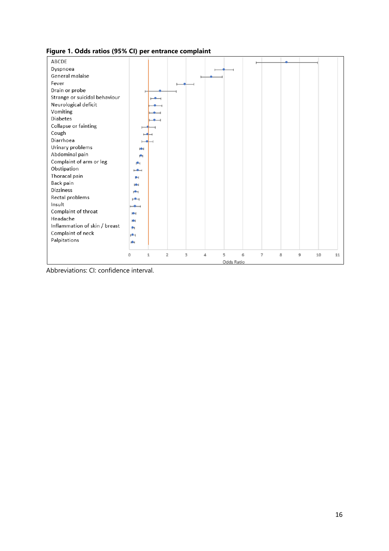#### **Figure 1. Odds ratios (95% CI) per entrance complaint**



Abbreviations: CI: confidence interval.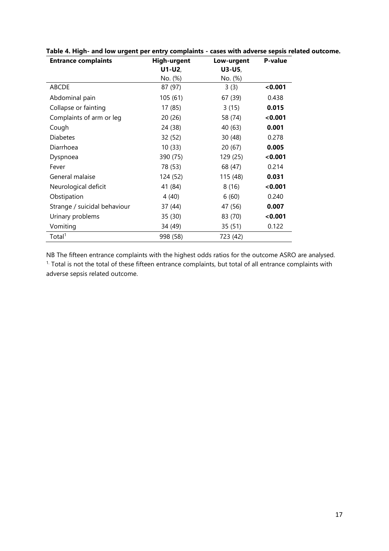| <b>Entrance complaints</b>   | <b>High-urgent</b> | Low-urgent | P-value |
|------------------------------|--------------------|------------|---------|
|                              | $U1-U2,$           | $U3-U5,$   |         |
|                              | No. (%)            | No. (%)    |         |
| <b>ABCDE</b>                 | 87 (97)            | 3(3)       | 0.001   |
| Abdominal pain               | 105 (61)           | 67 (39)    | 0.438   |
| Collapse or fainting         | 17 (85)            | 3(15)      | 0.015   |
| Complaints of arm or leg     | 20 (26)            | 58 (74)    | 0.001   |
| Cough                        | 24 (38)            | 40 (63)    | 0.001   |
| <b>Diabetes</b>              | 32 (52)            | 30 (48)    | 0.278   |
| Diarrhoea                    | 10(33)             | 20(67)     | 0.005   |
| Dyspnoea                     | 390 (75)           | 129 (25)   | < 0.001 |
| Fever                        | 78 (53)            | 68 (47)    | 0.214   |
| General malaise              | 124 (52)           | 115 (48)   | 0.031   |
| Neurological deficit         | 41 (84)            | 8(16)      | < 0.001 |
| Obstipation                  | 4(40)              | 6(60)      | 0.240   |
| Strange / suicidal behaviour | 37 (44)            | 47 (56)    | 0.007   |
| Urinary problems             | 35 (30)            | 83 (70)    | < 0.001 |
| Vomiting                     | 34 (49)            | 35 (51)    | 0.122   |
| Total <sup>1</sup>           | 998 (58)           | 723 (42)   |         |

**Table 4. High- and low urgent per entry complaints - cases with adverse sepsis related outcome.** 

NB The fifteen entrance complaints with the highest odds ratios for the outcome ASRO are analysed. <sup>1.</sup> Total is not the total of these fifteen entrance complaints, but total of all entrance complaints with adverse sepsis related outcome.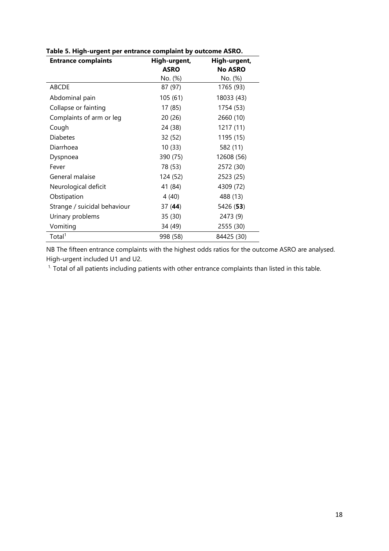| <b>Entrance complaints</b>   | High-urgent,<br><b>ASRO</b> | High-urgent,<br><b>No ASRO</b> |
|------------------------------|-----------------------------|--------------------------------|
|                              | No. (%)                     | No. (%)                        |
| <b>ABCDE</b>                 | 87 (97)                     | 1765 (93)                      |
| Abdominal pain               | 105 (61)                    | 18033 (43)                     |
| Collapse or fainting         | 17 (85)                     | 1754 (53)                      |
| Complaints of arm or leg     | 20(26)                      | 2660 (10)                      |
| Cough                        | 24 (38)                     | 1217 (11)                      |
| <b>Diabetes</b>              | 32 (52)                     | 1195 (15)                      |
| Diarrhoea                    | 10(33)                      | 582 (11)                       |
| Dyspnoea                     | 390 (75)                    | 12608 (56)                     |
| Fever                        | 78 (53)                     | 2572 (30)                      |
| General malaise              | 124 (52)                    | 2523 (25)                      |
| Neurological deficit         | 41 (84)                     | 4309 (72)                      |
| Obstipation                  | 4(40)                       | 488 (13)                       |
| Strange / suicidal behaviour | 37(44)                      | 5426 (53)                      |
| Urinary problems             | 35 (30)                     | 2473 (9)                       |
| Vomiting                     | 34 (49)                     | 2555 (30)                      |
| Total <sup>1</sup>           | 998 (58)                    | 84425 (30)                     |

**Table 5. High-urgent per entrance complaint by outcome ASRO.**

NB The fifteen entrance complaints with the highest odds ratios for the outcome ASRO are analysed. High-urgent included U1 and U2.

 $1.$  Total of all patients including patients with other entrance complaints than listed in this table.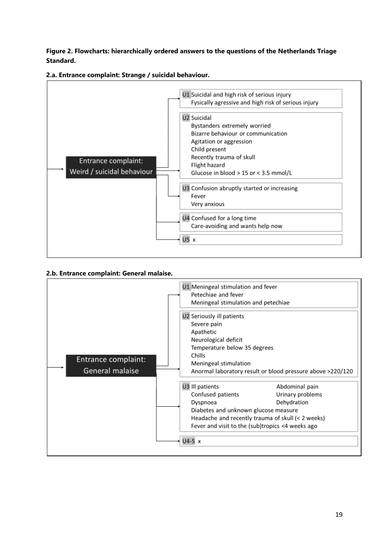**Figure 2. Flowcharts: hierarchically ordered answers to the questions of the Netherlands Triage Standard.**





#### **2.b. Entrance complaint: General malaise.**

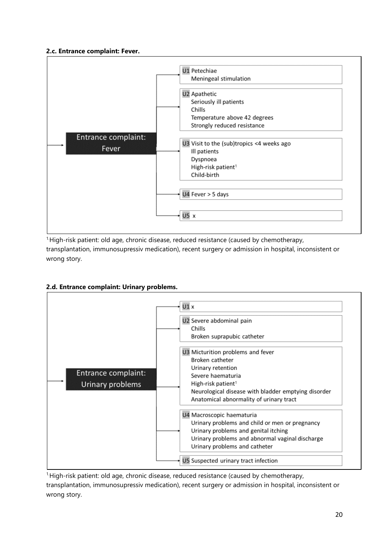## **2.c. Entrance complaint: Fever.**



1.High-risk patient: old age, chronic disease, reduced resistance (caused by chemotherapy, transplantation, immunosupressiv medication), recent surgery or admission in hospital, inconsistent or wrong story.

## **2.d. Entrance complaint: Urinary problems.**



<sup>1.</sup>High-risk patient: old age, chronic disease, reduced resistance (caused by chemotherapy, transplantation, immunosupressiv medication), recent surgery or admission in hospital, inconsistent or wrong story.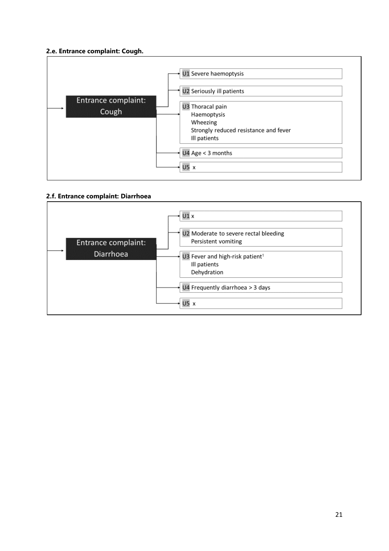## **2.e. Entrance complaint: Cough.**



## **2.f. Entrance complaint: Diarrhoea**